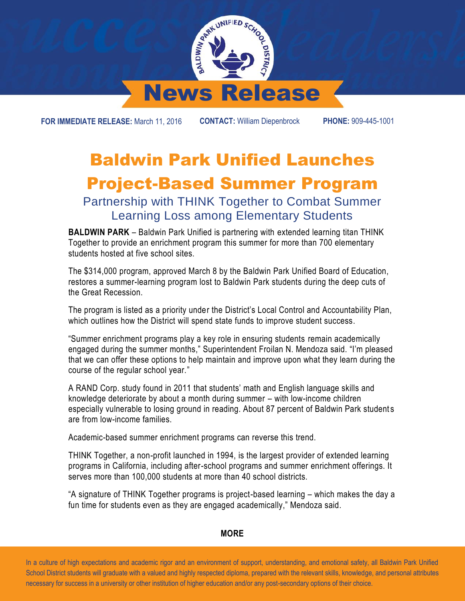

**FOR IMMEDIATE RELEASE:** March 11, 2016 **CONTACT:** William Diepenbrock **PHONE:** 909-445-1001

## Baldwin Park Unified Launches Project-Based Summer Program

## Partnership with THINK Together to Combat Summer Learning Loss among Elementary Students

**BALDWIN PARK** – Baldwin Park Unified is partnering with extended learning titan THINK Together to provide an enrichment program this summer for more than 700 elementary students hosted at five school sites.

The \$314,000 program, approved March 8 by the Baldwin Park Unified Board of Education, restores a summer-learning program lost to Baldwin Park students during the deep cuts of the Great Recession.

The program is listed as a priority under the District's Local Control and Accountability Plan, which outlines how the District will spend state funds to improve student success.

"Summer enrichment programs play a key role in ensuring students remain academically engaged during the summer months," Superintendent Froilan N. Mendoza said. "I'm pleased that we can offer these options to help maintain and improve upon what they learn during the course of the regular school year."

A RAND Corp. study found in 2011 that students' math and English language skills and knowledge deteriorate by about a month during summer – with low-income children especially vulnerable to losing ground in reading. About 87 percent of Baldwin Park students are from low-income families.

Academic-based summer enrichment programs can reverse this trend.

THINK Together, a non-profit launched in 1994, is the largest provider of extended learning programs in California, including after-school programs and summer enrichment offerings. It serves more than 100,000 students at more than 40 school districts.

"A signature of THINK Together programs is project-based learning – which makes the day a fun time for students even as they are engaged academically," Mendoza said.

## **MORE**

 In a culture of high expectations and academic rigor and an environment of support, understanding, and emotional safety, all Baldwin Park Unified School District students will graduate with a valued and highly respected diploma, prepared with the relevant skills, knowledge, and personal attributes necessary for success in a university or other institution of higher education and/or any post-secondary options of their choice.